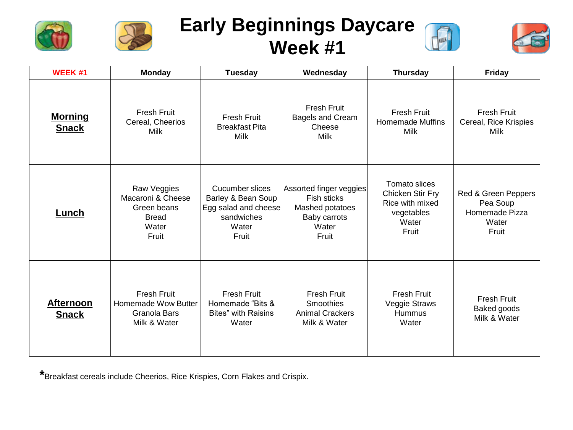



## **Early Beginnings Daycare Week #1**





| WEEK #1                          | <b>Monday</b>                                                                     | <b>Tuesday</b>                                                                                | Wednesday                                                                                   | <b>Thursday</b>                                                                      | <b>Friday</b>                                                       |
|----------------------------------|-----------------------------------------------------------------------------------|-----------------------------------------------------------------------------------------------|---------------------------------------------------------------------------------------------|--------------------------------------------------------------------------------------|---------------------------------------------------------------------|
| <b>Morning</b><br><b>Snack</b>   | <b>Fresh Fruit</b><br>Cereal, Cheerios<br>Milk                                    | <b>Fresh Fruit</b><br><b>Breakfast Pita</b><br><b>Milk</b>                                    | Fresh Fruit<br>Bagels and Cream<br>Cheese<br><b>Milk</b>                                    | <b>Fresh Fruit</b><br><b>Homemade Muffins</b><br><b>Milk</b>                         | <b>Fresh Fruit</b><br>Cereal, Rice Krispies<br>Milk                 |
| Lunch                            | Raw Veggies<br>Macaroni & Cheese<br>Green beans<br><b>Bread</b><br>Water<br>Fruit | Cucumber slices<br>Barley & Bean Soup<br>Egg salad and cheese<br>sandwiches<br>Water<br>Fruit | Assorted finger veggies<br>Fish sticks<br>Mashed potatoes<br>Baby carrots<br>Water<br>Fruit | Tomato slices<br>Chicken Stir Fry<br>Rice with mixed<br>vegetables<br>Water<br>Fruit | Red & Green Peppers<br>Pea Soup<br>Homemade Pizza<br>Water<br>Fruit |
| <b>Afternoon</b><br><b>Snack</b> | <b>Fresh Fruit</b><br><b>Homemade Wow Butter</b><br>Granola Bars<br>Milk & Water  | <b>Fresh Fruit</b><br>Homemade "Bits &<br><b>Bites"</b> with Raisins<br>Water                 | <b>Fresh Fruit</b><br><b>Smoothies</b><br><b>Animal Crackers</b><br>Milk & Water            | <b>Fresh Fruit</b><br>Veggie Straws<br>Hummus<br>Water                               | <b>Fresh Fruit</b><br>Baked goods<br>Milk & Water                   |

**\***Breakfast cereals include Cheerios, Rice Krispies, Corn Flakes and Crispix.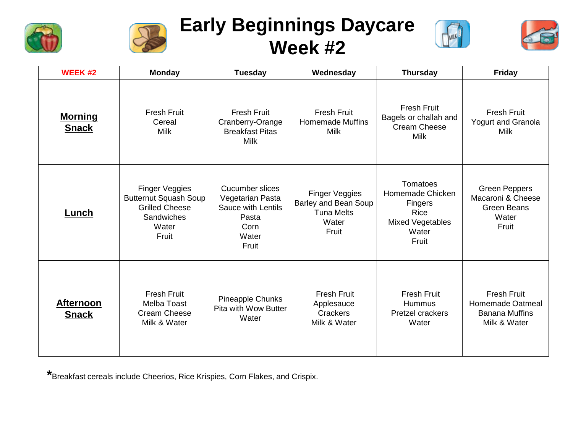



## **Early Beginnings Daycare Week #2**





| <b>WEEK#2</b>                    | <b>Monday</b>                                                                                           | Tuesday                                                                                             | Wednesday                                                                     | <b>Thursday</b>                                                                       | Friday                                                                            |
|----------------------------------|---------------------------------------------------------------------------------------------------------|-----------------------------------------------------------------------------------------------------|-------------------------------------------------------------------------------|---------------------------------------------------------------------------------------|-----------------------------------------------------------------------------------|
| <b>Morning</b><br><b>Snack</b>   | <b>Fresh Fruit</b><br>Cereal<br>Milk                                                                    | Fresh Fruit<br>Cranberry-Orange<br><b>Breakfast Pitas</b><br><b>Milk</b>                            | Fresh Fruit<br><b>Homemade Muffins</b><br><b>Milk</b>                         | <b>Fresh Fruit</b><br>Bagels or challah and<br>Cream Cheese<br><b>Milk</b>            | Fresh Fruit<br>Yogurt and Granola<br>Milk                                         |
| Lunch                            | Finger Veggies<br><b>Butternut Squash Soup</b><br><b>Grilled Cheese</b><br>Sandwiches<br>Water<br>Fruit | <b>Cucumber slices</b><br>Vegetarian Pasta<br>Sauce with Lentils<br>Pasta<br>Corn<br>Water<br>Fruit | Finger Veggies<br>Barley and Bean Soup<br><b>Tuna Melts</b><br>Water<br>Fruit | Tomatoes<br>Homemade Chicken<br>Fingers<br>Rice<br>Mixed Vegetables<br>Water<br>Fruit | <b>Green Peppers</b><br>Macaroni & Cheese<br><b>Green Beans</b><br>Water<br>Fruit |
| <b>Afternoon</b><br><b>Snack</b> | <b>Fresh Fruit</b><br>Melba Toast<br><b>Cream Cheese</b><br>Milk & Water                                | Pineapple Chunks<br>Pita with Wow Butter<br>Water                                                   | <b>Fresh Fruit</b><br>Applesauce<br>Crackers<br>Milk & Water                  | <b>Fresh Fruit</b><br><b>Hummus</b><br><b>Pretzel crackers</b><br>Water               | <b>Fresh Fruit</b><br>Homemade Oatmeal<br><b>Banana Muffins</b><br>Milk & Water   |

**\***Breakfast cereals include Cheerios, Rice Krispies, Corn Flakes, and Crispix.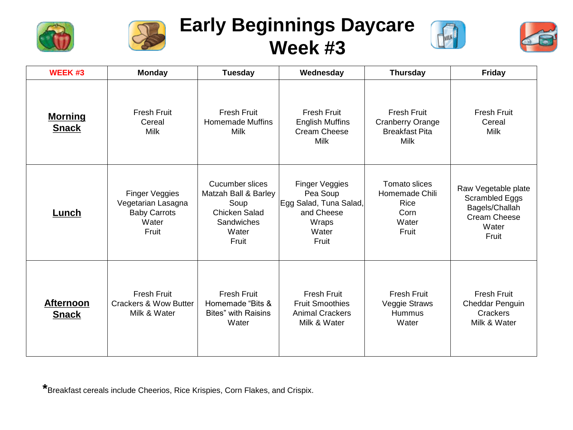



## **Early Beginnings Daycare Week #3**





| <b>WEEK#3</b>                    | <b>Monday</b>                                                                 | <b>Tuesday</b>                                                                                                 | Wednesday                                                                                     | <b>Thursday</b>                                                                | Friday                                                                                    |
|----------------------------------|-------------------------------------------------------------------------------|----------------------------------------------------------------------------------------------------------------|-----------------------------------------------------------------------------------------------|--------------------------------------------------------------------------------|-------------------------------------------------------------------------------------------|
| <b>Morning</b><br><b>Snack</b>   | <b>Fresh Fruit</b><br>Cereal<br>Milk                                          | <b>Fresh Fruit</b><br><b>Homemade Muffins</b><br>Milk                                                          | <b>Fresh Fruit</b><br><b>English Muffins</b><br>Cream Cheese<br>Milk                          | <b>Fresh Fruit</b><br><b>Cranberry Orange</b><br><b>Breakfast Pita</b><br>Milk | <b>Fresh Fruit</b><br>Cereal<br><b>Milk</b>                                               |
| Lunch                            | Finger Veggies<br>Vegetarian Lasagna<br><b>Baby Carrots</b><br>Water<br>Fruit | <b>Cucumber slices</b><br>Matzah Ball & Barley<br>Soup<br><b>Chicken Salad</b><br>Sandwiches<br>Water<br>Fruit | Finger Veggies<br>Pea Soup<br>Egg Salad, Tuna Salad,<br>and Cheese<br>Wraps<br>Water<br>Fruit | Tomato slices<br>Homemade Chili<br><b>Rice</b><br>Corn<br>Water<br>Fruit       | Raw Vegetable plate<br>Scrambled Eggs<br>Bagels/Challah<br>Cream Cheese<br>Water<br>Fruit |
| <b>Afternoon</b><br><b>Snack</b> | <b>Fresh Fruit</b><br><b>Crackers &amp; Wow Butter</b><br>Milk & Water        | <b>Fresh Fruit</b><br>Homemade "Bits &<br><b>Bites</b> " with Raisins<br>Water                                 | <b>Fresh Fruit</b><br><b>Fruit Smoothies</b><br><b>Animal Crackers</b><br>Milk & Water        | <b>Fresh Fruit</b><br>Veggie Straws<br>Hummus<br>Water                         | Fresh Fruit<br>Cheddar Penguin<br>Crackers<br>Milk & Water                                |

**\***Breakfast cereals include Cheerios, Rice Krispies, Corn Flakes, and Crispix.